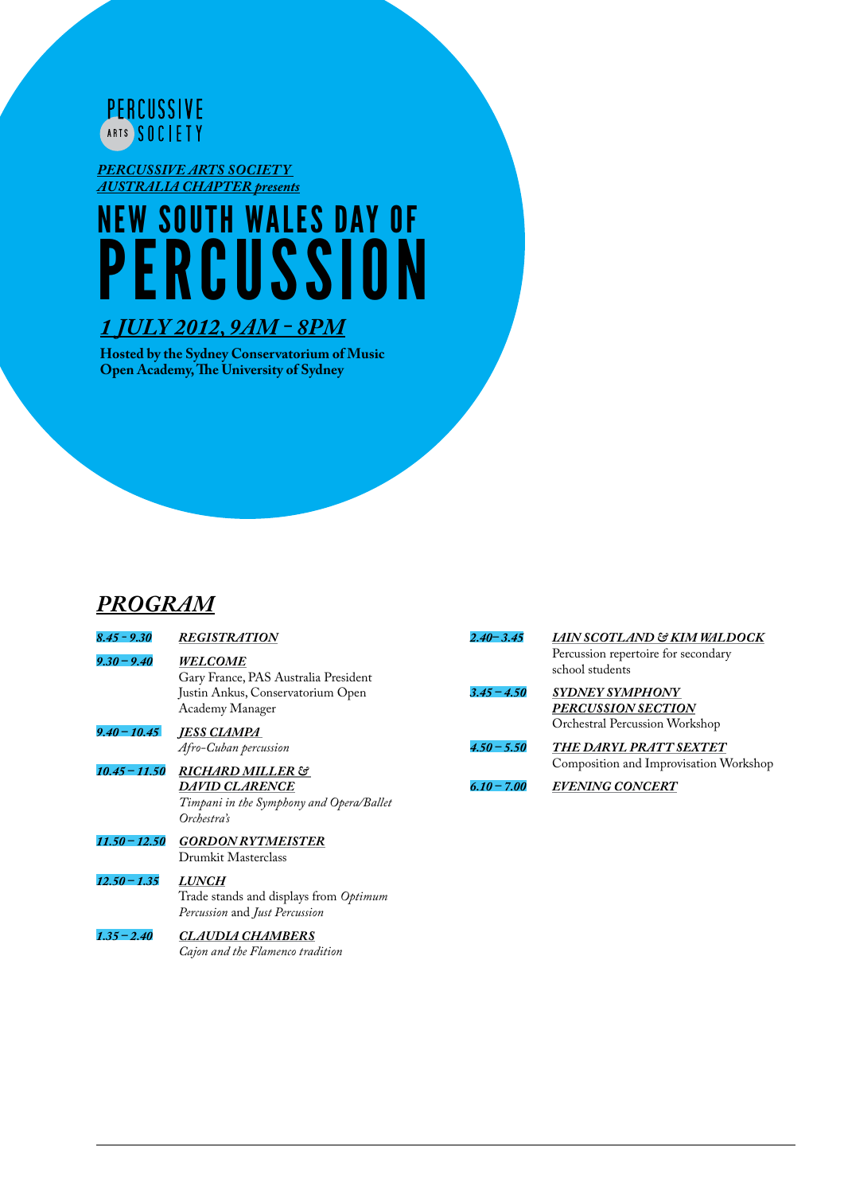

*Percussive Arts Society Australia Chapter presents*

# NEW SOUTH WALES DAY of PERCUSSI

### *1 JULY 2012, 9am - 8pm*

**Hosted by the Sydney Conservatorium of Music Open Academy, The University of Sydney**

### *PROGRAM*

| $8.45 - 9.30$   | <b>REGISTRATION</b>                                                                      | $2.40 - 3.45$ | LAIN SCOTLAND & KIM WALDOCK                                                                            |
|-----------------|------------------------------------------------------------------------------------------|---------------|--------------------------------------------------------------------------------------------------------|
| $9.30 - 9.40$   | <b>WELCOME</b><br>Gary France, PAS Australia President                                   | $3.45 - 4.50$ | Percussion repertoire for secondary<br>school students<br><b>SYDNEY SYMPHONY</b><br>PERCUSSION SECTION |
|                 | Justin Ankus, Conservatorium Open<br>Academy Manager                                     |               |                                                                                                        |
| $9.40 - 10.45$  | <b>JESS CLAMPA</b>                                                                       |               | Orchestral Percussion Workshop                                                                         |
| $10.45 - 11.50$ | Afro-Cuban percussion<br><b>RICHARD MILLER &amp;</b>                                     | $4.50 - 5.50$ | THE DARYL PRATT SEXTET<br>Composition and Improvisation Workshop                                       |
|                 | <b>DAVID CLARENCE</b><br>Timpani in the Symphony and Opera/Ballet<br>Orchestra's         | $6.10 - 7.00$ | <b>EVENING CONCERT</b>                                                                                 |
| $11.50 - 12.50$ | <b>GORDON RYTMEISTER</b><br>Drumkit Masterclass                                          |               |                                                                                                        |
| $12.50 - 1.35$  | <b>LUNCH</b><br>Trade stands and displays from Optimum<br>Percussion and Just Percussion |               |                                                                                                        |

*1.35 – 2.40 Claudia Chambers Cajon and the Flamenco tradition*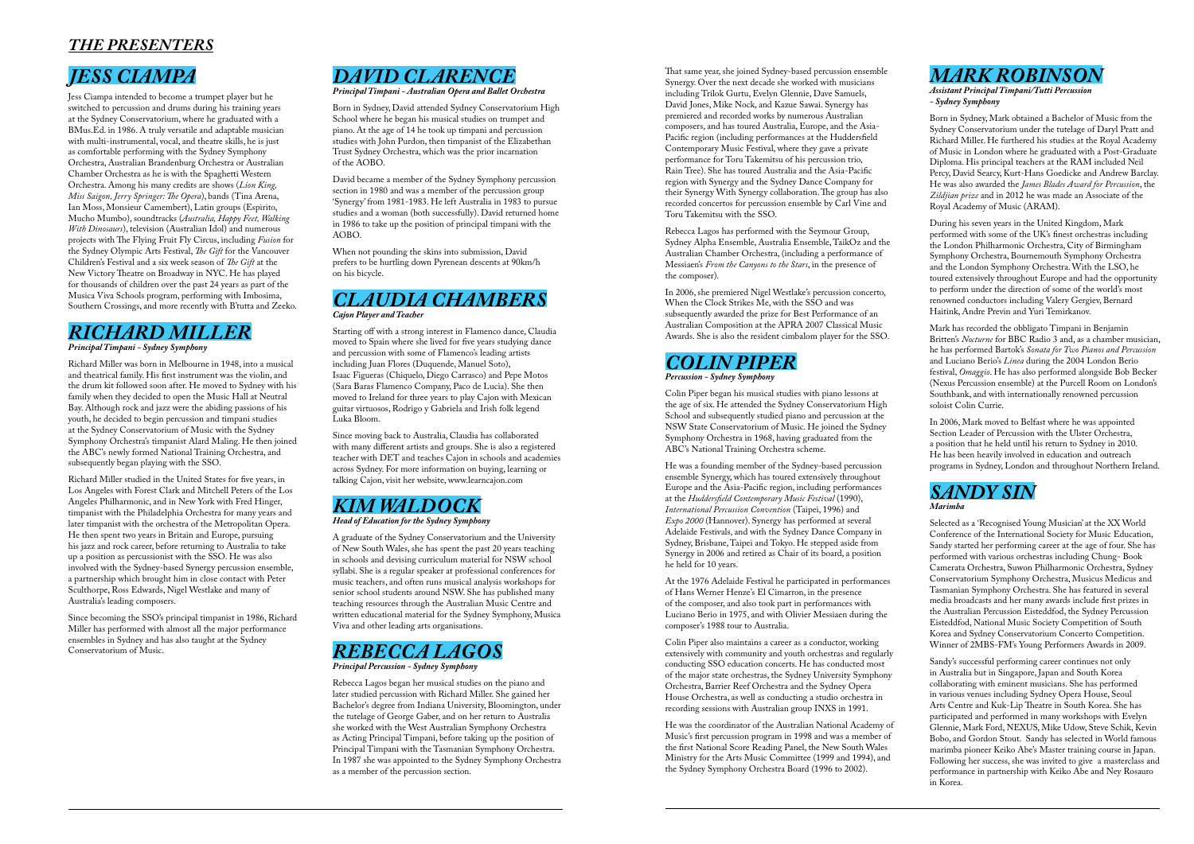# *Jess Ciampa*

Jess Ciampa intended to become a trumpet player but he switched to percussion and drums during his training years at the Sydney Conservatorium, where he graduated with a BMus.Ed. in 1986. A truly versatile and adaptable musician with multi-instrumental, vocal, and theatre skills, he is just as comfortable performing with the Sydney Symphony Orchestra, Australian Brandenburg Orchestra or Australian Chamber Orchestra as he is with the Spaghetti Western Orchestra. Among his many credits are shows (*Lion King, Miss Saigon, Jerry Springer: The Opera*), bands (Tina Arena, Ian Moss, Monsieur Camembert), Latin groups (Espirito, Mucho Mumbo), soundtracks (*Australia, Happy Feet, Walking With Dinosaurs*), television (Australian Idol) and numerous projects with The Flying Fruit Fly Circus, including *Fusion* for the Sydney Olympic Arts Festival, *The Gift* for the Vancouver Children's Festival and a six week season of *The Gift* at the New Victory Theatre on Broadway in NYC. He has played for thousands of children over the past 24 years as part of the Musica Viva Schools program, performing with Imbosima, Southern Crossings, and more recently with B'tutta and Zeeko.

# *Richard Miller Principal Timpani - Sydney Symphony*

Richard Miller was born in Melbourne in 1948, into a musical and theatrical family. His first instrument was the violin, and the drum kit followed soon after. He moved to Sydney with his family when they decided to open the Music Hall at Neutral Bay. Although rock and jazz were the abiding passions of his youth, he decided to begin percussion and timpani studies at the Sydney Conservatorium of Music with the Sydney Symphony Orchestra's timpanist Alard Maling. He then joined the ABC's newly formed National Training Orchestra, and subsequently began playing with the SSO.

Richard Miller studied in the United States for five years, in Los Angeles with Forest Clark and Mitchell Peters of the Los Angeles Philharmonic, and in New York with Fred Hinger, timpanist with the Philadelphia Orchestra for many years and later timpanist with the orchestra of the Metropolitan Opera. He then spent two years in Britain and Europe, pursuing his jazz and rock career, before returning to Australia to take up a position as percussionist with the SSO. He was also involved with the Sydney-based Synergy percussion ensemble, a partnership which brought him in close contact with Peter Sculthorpe, Ross Edwards, Nigel Westlake and many of Australia's leading composers.

Since becoming the SSO's principal timpanist in 1986, Richard Miller has performed with almost all the major performance ensembles in Sydney and has also taught at the Sydney Conservatorium of Music.

# *David Clarence*

*Principal Timpani - Australian Opera and Ballet Orchestra*

Born in Sydney, David attended Sydney Conservatorium High School where he began his musical studies on trumpet and piano. At the age of 14 he took up timpani and percussion studies with John Purdon, then timpanist of the Elizabethan Trust Sydney Orchestra, which was the prior incarnation of the AOBO.

David became a member of the Sydney Symphony percussion section in 1980 and was a member of the percussion group 'Synergy' from 1981-1983. He left Australia in 1983 to pursue studies and a woman (both successfully). David returned home in 1986 to take up the position of principal timpani with the AOBO.

When not pounding the skins into submission, David prefers to be hurtling down Pyrenean descents at 90km/h on his bicycle.

### *Claudia Chambers Cajon Player and Teacher*

Starting off with a strong interest in Flamenco dance, Claudia moved to Spain where she lived for five years studying dance and percussion with some of Flamenco's leading artists including Juan Flores (Duquende, Manuel Soto), Isaac Figueras (Chiquelo, Diego Carrasco) and Pepe Motos (Sara Baras Flamenco Company, Paco de Lucia). She then moved to Ireland for three years to play Cajon with Mexican guitar virtuosos, Rodrigo y Gabriela and Irish folk legend Luka Bloom.

Since moving back to Australia, Claudia has collaborated with many different artists and groups. She is also a registered teacher with DET and teaches Cajon in schools and academies across Sydney. For more information on buying, learning or talking Cajon, visit her website, www.learncajon.com

# *Kim Waldock*

### *Head of Education for the Sydney Symphony*

A graduate of the Sydney Conservatorium and the University of New South Wales, she has spent the past 20 years teaching in schools and devising curriculum material for NSW school syllabi. She is a regular speaker at professional conferences for music teachers, and often runs musical analysis workshops for senior school students around NSW. She has published many teaching resources through the Australian Music Centre and written educational material for the Sydney Symphony, Musica Viva and other leading arts organisations.

# *Rebecca Lagos*

### *Principal Percussion - Sydney Symphony*

Rebecca Lagos began her musical studies on the piano and later studied percussion with Richard Miller. She gained her Bachelor's degree from Indiana University, Bloomington, under the tutelage of George Gaber, and on her return to Australia she worked with the West Australian Symphony Orchestra as Acting Principal Timpani, before taking up the position of Principal Timpani with the Tasmanian Symphony Orchestra. In 1987 she was appointed to the Sydney Symphony Orchestra as a member of the percussion section.

# *THE PRESENTERS*

That same year, she joined Sydney-based percussion ensemble Synergy. Over the next decade she worked with musicians including Trilok Gurtu, Evelyn Glennie, Dave Samuels, David Jones, Mike Nock, and Kazue Sawai. Synergy has premiered and recorded works by numerous Australian composers, and has toured Australia, Europe, and the Asia-Pacific region (including performances at the Huddersfield Contemporary Music Festival, where they gave a private performance for Toru Takemitsu of his percussion trio, Rain Tree). She has toured Australia and the Asia-Pacific region with Synergy and the Sydney Dance Company for their Synergy With Synergy collaboration. The group has also recorded concertos for percussion ensemble by Carl Vine and Toru Takemitsu with the SSO.

Rebecca Lagos has performed with the Seymour Group, Sydney Alpha Ensemble, Australia Ensemble, TaikOz and the Australian Chamber Orchestra, (including a performance of Messiaen's *From the Canyons to the Stars*, in the presence of the composer).

In 2006, she premiered Nigel Westlake's percussion concerto, When the Clock Strikes Me, with the SSO and was subsequently awarded the prize for Best Performance of an Australian Composition at the APRA 2007 Classical Music Awards. She is also the resident cimbalom player for the SSO.

# *Colin Piper*

*Percussion - Sydney Symphony*

Colin Piper began his musical studies with piano lessons at the age of six. He attended the Sydney Conservatorium High School and subsequently studied piano and percussion at the NSW State Conservatorium of Music. He joined the Sydney Symphony Orchestra in 1968, having graduated from the ABC's National Training Orchestra scheme.

He was a founding member of the Sydney-based percussion ensemble Synergy, which has toured extensively throughout Europe and the Asia-Pacific region, including performances at the *Huddersfield Contemporary Music Festival* (1990), *International Percussion Convention* (Taipei, 1996) and *Expo 2000* (Hannover). Synergy has performed at several Adelaide Festivals, and with the Sydney Dance Company in Sydney, Brisbane, Taipei and Tokyo. He stepped aside from Synergy in 2006 and retired as Chair of its board, a position he held for 10 years.

At the 1976 Adelaide Festival he participated in performances of Hans Werner Henze's El Cimarron, in the presence of the composer, and also took part in performances with Luciano Berio in 1975, and with Olivier Messiaen during the composer's 1988 tour to Australia.

Colin Piper also maintains a career as a conductor, working extensively with community and youth orchestras and regularly conducting SSO education concerts. He has conducted most of the major state orchestras, the Sydney University Symphony Orchestra, Barrier Reef Orchestra and the Sydney Opera House Orchestra, as well as conducting a studio orchestra in recording sessions with Australian group INXS in 1991.

He was the coordinator of the Australian National Academy of Music's first percussion program in 1998 and was a member of the first National Score Reading Panel, the New South Wales Ministry for the Arts Music Committee (1999 and 1994), and the Sydney Symphony Orchestra Board (1996 to 2002).

*Mark Robinson*

*Assistant Principal Timpani/Tutti Percussion - Sydney Symphony*

Born in Sydney, Mark obtained a Bachelor of Music from the Sydney Conservatorium under the tutelage of Daryl Pratt and Richard Miller. He furthered his studies at the Royal Academy of Music in London where he graduated with a Post-Graduate Diploma. His principal teachers at the RAM included Neil Percy, David Searcy, Kurt-Hans Goedicke and Andrew Barclay. He was also awarded the *James Blades Award for Percussion*, the *Zildjian prize* and in 2012 he was made an Associate of the Royal Academy of Music (ARAM).

During his seven years in the United Kingdom, Mark performed with some of the UK's finest orchestras including the London Philharmonic Orchestra, City of Birmingham Symphony Orchestra, Bournemouth Symphony Orchestra and the London Symphony Orchestra. With the LSO, he toured extensively throughout Europe and had the opportunity to perform under the direction of some of the world's most renowned conductors including Valery Gergiev, Bernard Haitink, Andre Previn and Yuri Temirkanov.

Mark has recorded the obbligato Timpani in Benjamin Britten's *Nocturne* for BBC Radio 3 and, as a chamber musician, he has performed Bartok's *Sonata for Two Pianos and Percussion* and Luciano Berio's *Linea* during the 2004 London Berio festival, *Omaggio*. He has also performed alongside Bob Becker (Nexus Percussion ensemble) at the Purcell Room on London's Southbank, and with internationally renowned percussion soloist Colin Currie.

In 2006, Mark moved to Belfast where he was appointed Section Leader of Percussion with the Ulster Orchestra, a position that he held until his return to Sydney in 2010. He has been heavily involved in education and outreach programs in Sydney, London and throughout Northern Ireland.

# *Sandy Sin*

### *Marimba*

Selected as a 'Recognised Young Musician' at the XX World Conference of the International Society for Music Education, Sandy started her performing career at the age of four. She has performed with various orchestras including Chung- Book Camerata Orchestra, Suwon Philharmonic Orchestra, Sydney Conservatorium Symphony Orchestra, Musicus Medicus and Tasmanian Symphony Orchestra. She has featured in several media broadcasts and her many awards include first prizes in the Australian Percussion Eisteddfod, the Sydney Percussion Eisteddfod, National Music Society Competition of South Korea and Sydney Conservatorium Concerto Competition. Winner of 2MBS-FM's Young Performers Awards in 2009.

Sandy's successful performing career continues not only in Australia but in Singapore, Japan and South Korea collaborating with eminent musicians. She has performed in various venues including Sydney Opera House, Seoul Arts Centre and Kuk-Lip Theatre in South Korea. She has participated and performed in many workshops with Evelyn Glennie, Mark Ford, NEXUS, Mike Udow, Steve Schik, Kevin Bobo, and Gordon Stout. Sandy has selected in World famous marimba pioneer Keiko Abe's Master training course in Japan. Following her success, she was invited to give a masterclass and performance in partnership with Keiko Abe and Ney Rosauro in Korea.